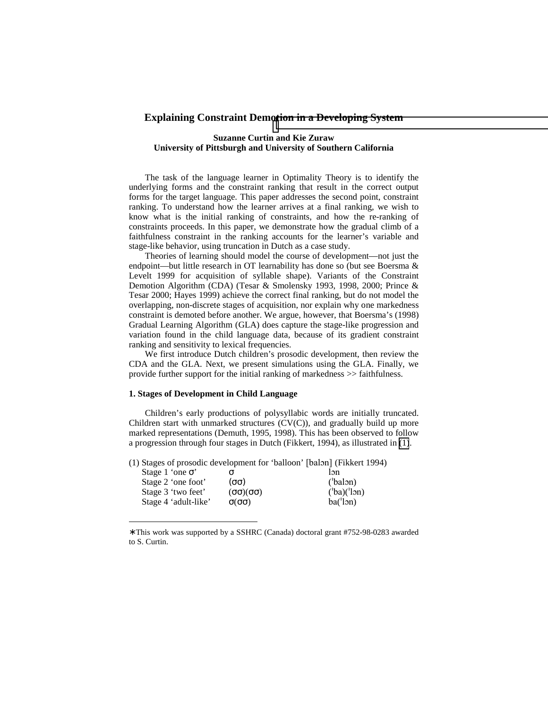# **Explaining Constraint Demotion in a Developing System**

# **Suzanne Curtin and Kie Zuraw University of Pittsburgh and University of Southern California**

The task of the language learner in Optimality Theory is to identify the underlying forms and the constraint ranking that result in the correct output forms for the target language. This paper addresses the second point, constraint ranking. To understand how the learner arrives at a final ranking, we wish to know what is the initial ranking of constraints, and how the re-ranking of constraints proceeds. In this paper, we demonstrate how the gradual climb of a faithfulness constraint in the ranking accounts for the learner's variable and stage-like behavior, using truncation in Dutch as a case study.

Theories of learning should model the course of development—not just the endpoint—but little research in OT learnability has done so (but see Boersma & Levelt 1999 for acquisition of syllable shape). Variants of the Constraint Demotion Algorithm (CDA) (Tesar & Smolensky 1993, 1998, 2000; Prince & Tesar 2000; Hayes 1999) achieve the correct final ranking, but do not model the overlapping, non-discrete stages of acquisition, nor explain why one markedness constraint is demoted before another. We argue, however, that Boersma's (1998) Gradual Learning Algorithm (GLA) does capture the stage-like progression and variation found in the child language data, because of its gradient constraint ranking and sensitivity to lexical frequencies.

We first introduce Dutch children's prosodic development, then review the CDA and the GLA. Next, we present simulations using the GLA. Finally, we provide further support for the initial ranking of markedness >> faithfulness.

# **1. Stages of Development in Child Language**

 $\overline{\phantom{a}}$ 

Children's early productions of polysyllabic words are initially truncated. Children start with unmarked structures (CV(C)), and gradually build up more marked representations (Demuth, 1995, 1998). This has been observed to follow a progression through four stages in Dutch (Fikkert, 1994), as illustrated in (1).

(1) Stages of prosodic development for 'balloon' [balon] (Fikkert 1994)

| Stage 1 'one $\sigma$ ' |          | $\mathsf{In}$ |
|-------------------------|----------|---------------|
| Stage 2 'one foot'      | (00)     | (balon)       |
| Stage 3 'two feet'      | (00)(00) | (ba)('lon)    |
| Stage 4 'adult-like'    | Q(QQ)    | ba('lon)      |
|                         |          |               |

<sup>∗</sup> This work was supported by a SSHRC (Canada) doctoral grant #752-98-0283 awarded to S. Curtin.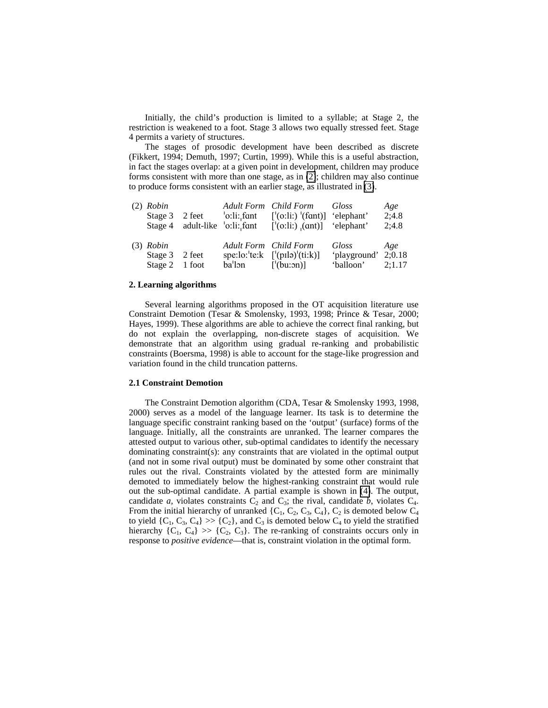Initially, the child's production is limited to a syllable; at Stage 2, the restriction is weakened to a foot. Stage 3 allows two equally stressed feet. Stage 4 permits a variety of structures.

The stages of prosodic development have been described as discrete (Fikkert, 1994; Demuth, 1997; Curtin, 1999). While this is a useful abstraction, in fact the stages overlap: at a given point in development, children may produce forms consistent with more than one stage, as in (2); children may also continue to produce forms consistent with an earlier stage, as illustrated in (3).

| $(2)$ Robin                                     | Stage $3 \quad 2 \text{ feet} \qquad \text{'o:li:} \text{fant}$ | Adult Form Child Form Gloss<br>$\lceil$ '(o:li:) '(fant)] 'elephant'<br>Stage 4 adult-like $\text{'}\text{o:li:}$ fant $\text{'}\text{(o:li:)}$ (ant) $\text{'}\text{'elephant'}$ |                                                        | Age<br>2;4.8<br>2;4.8 |
|-------------------------------------------------|-----------------------------------------------------------------|-----------------------------------------------------------------------------------------------------------------------------------------------------------------------------------|--------------------------------------------------------|-----------------------|
| $(3)$ Robin<br>Stage 3 2 feet<br>Stage 2 1 foot | $ba'$ lon $\lceil (bu:on) \rceil$                               | Adult Form Child Form<br>spe:lo:'te: $k$ ['(pilə)'(ti: $k$ )]                                                                                                                     | Gloss<br>'playground' 2;0.18<br>$\ell$ balloon' 2:1.17 | Age                   |

## **2. Learning algorithms**

Several learning algorithms proposed in the OT acquisition literature use Constraint Demotion (Tesar & Smolensky, 1993, 1998; Prince & Tesar, 2000; Hayes, 1999). These algorithms are able to achieve the correct final ranking, but do not explain the overlapping, non-discrete stages of acquisition. We demonstrate that an algorithm using gradual re-ranking and probabilistic constraints (Boersma, 1998) is able to account for the stage-like progression and variation found in the child truncation patterns.

# **2.1 Constraint Demotion**

The Constraint Demotion algorithm (CDA, Tesar & Smolensky 1993, 1998, 2000) serves as a model of the language learner. Its task is to determine the language specific constraint ranking based on the 'output' (surface) forms of the language. Initially, all the constraints are unranked. The learner compares the attested output to various other, sub-optimal candidates to identify the necessary dominating constraint(s): any constraints that are violated in the optimal output (and not in some rival output) must be dominated by some other constraint that rules out the rival. Constraints violated by the attested form are minimally demoted to immediately below the highest-ranking constraint that would rule out the sub-optimal candidate. A partial example is shown in [\(4\)](#page-2-0). The output, candidate *a*, violates constraints  $C_2$  and  $C_3$ ; the rival, candidate *b*, violates  $C_4$ . From the initial hierarchy of unranked  $\{C_1, C_2, C_3, C_4\}$ ,  $C_2$  is demoted below  $C_4$ to yield  $\{C_1, C_3, C_4\} \gg \{C_2\}$ , and  $C_3$  is demoted below  $C_4$  to yield the stratified hierarchy  $\{C_1, C_4\} \gg \{C_2, C_3\}$ . The re-ranking of constraints occurs only in response to *positive evidence*—that is, constraint violation in the optimal form.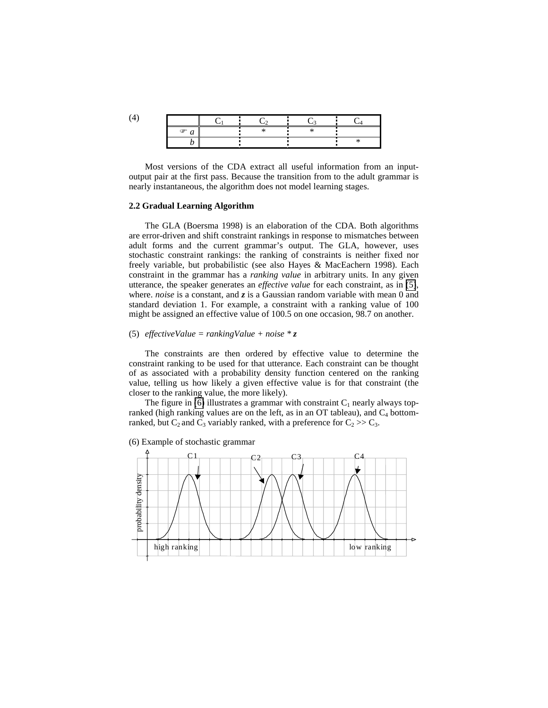<span id="page-2-0"></span>

| ☞ |  |  |
|---|--|--|
|   |  |  |

Most versions of the CDA extract all useful information from an inputoutput pair at the first pass. Because the transition from to the adult grammar is nearly instantaneous, the algorithm does not model learning stages.

### **2.2 Gradual Learning Algorithm**

The GLA (Boersma 1998) is an elaboration of the CDA. Both algorithms are error-driven and shift constraint rankings in response to mismatches between adult forms and the current grammar's output. The GLA, however, uses stochastic constraint rankings: the ranking of constraints is neither fixed nor freely variable, but probabilistic (see also Hayes & MacEachern 1998). Each constraint in the grammar has a *ranking value* in arbitrary units. In any given utterance, the speaker generates an *effective value* for each constraint, as in (5), where. *noise* is a constant, and *z* is a Gaussian random variable with mean 0 and standard deviation 1. For example, a constraint with a ranking value of 100 might be assigned an effective value of 100.5 on one occasion, 98.7 on another.

### (5) *effectiveValue = rankingValue + noise \* z*

The constraints are then ordered by effective value to determine the constraint ranking to be used for that utterance. Each constraint can be thought of as associated with a probability density function centered on the ranking value, telling us how likely a given effective value is for that constraint (the closer to the ranking value, the more likely).

The figure in (6) illustrates a grammar with constraint  $C_1$  nearly always topranked (high ranking values are on the left, as in an OT tableau), and  $C_4$  bottomranked, but  $C_2$  and  $C_3$  variably ranked, with a preference for  $C_2 \gg C_3$ .



(6) Example of stochastic grammar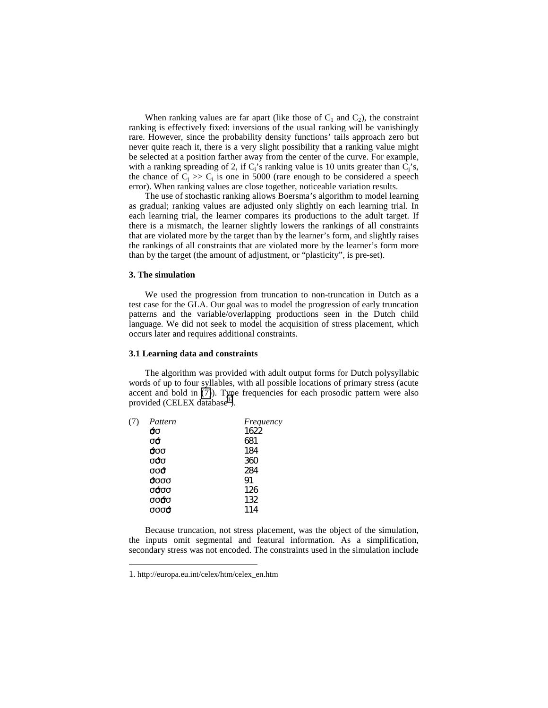<span id="page-3-0"></span>When ranking values are far apart (like those of  $C_1$  and  $C_2$ ), the constraint ranking is effectively fixed: inversions of the usual ranking will be vanishingly rare. However, since the probability density functions' tails approach zero but never quite reach it, there is a very slight possibility that a ranking value might be selected at a position farther away from the center of the curve. For example, with a ranking spreading of 2, if  $C_i$ 's ranking value is 10 units greater than  $C_i$ 's, the chance of  $C_i \gg C_i$  is one in 5000 (rare enough to be considered a speech error). When ranking values are close together, noticeable variation results.

The use of stochastic ranking allows Boersma's algorithm to model learning as gradual; ranking values are adjusted only slightly on each learning trial. In each learning trial, the learner compares its productions to the adult target. If there is a mismatch, the learner slightly lowers the rankings of all constraints that are violated more by the target than by the learner's form, and slightly raises the rankings of all constraints that are violated more by the learner's form more than by the target (the amount of adjustment, or "plasticity", is pre-set).

### **3. The simulation**

We used the progression from truncation to non-truncation in Dutch as a test case for the GLA. Our goal was to model the progression of early truncation patterns and the variable/overlapping productions seen in the Dutch child language. We did not seek to model the acquisition of stress placement, which occurs later and requires additional constraints.

## **3.1 Learning data and constraints**

The algorithm was provided with adult output forms for Dutch polysyllabic words of up to four syllables, with all possible locations of primary stress (acute accent and bold in (7)). Type frequencies for each prosodic pattern were also provided (CELEX database<sup>1</sup>).

| (7) | Pattern           | Frequency |
|-----|-------------------|-----------|
|     | σσ                | 1622      |
|     | σό                | 681       |
|     | σσσ               | 184       |
|     | σόσ               | 360       |
|     | σσό               | 284       |
|     | σσσσ              | 91        |
|     | σ <del>ό</del> σσ | 126       |
|     | σσόσ              | 132       |
|     | σσσσ              | 114       |
|     |                   |           |

Because truncation, not stress placement, was the object of the simulation, the inputs omit segmental and featural information. As a simplification, secondary stress was not encoded. The constraints used in the simulation include

l

<sup>1.</sup> http://europa.eu.int/celex/htm/celex\_en.htm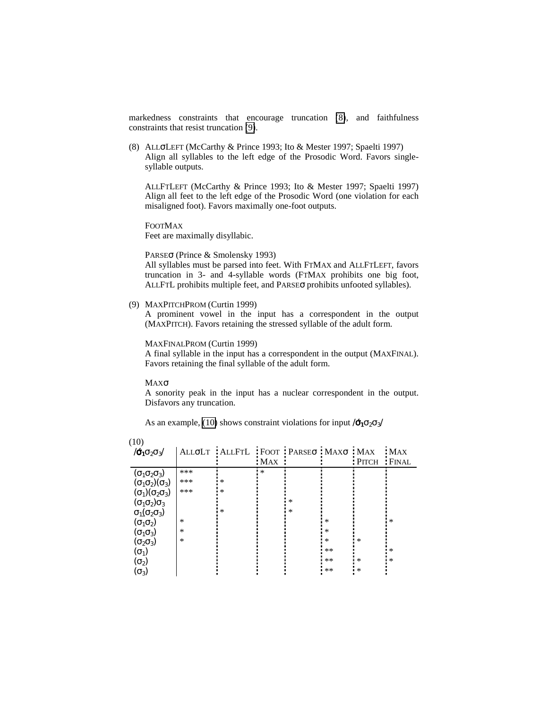markedness constraints that encourage truncation (8), and faithfulness constraints that resist truncation (9).

(8)ALLσLEFT (McCarthy & Prince 1993; Ito & Mester 1997; Spaelti 1997) Align all syllables to the left edge of the Prosodic Word. Favors singlesyllable outputs.

ALLFTLEFT (McCarthy & Prince 1993; Ito & Mester 1997; Spaelti 1997) Align all feet to the left edge of the Prosodic Word (one violation for each misaligned foot). Favors maximally one-foot outputs.

FOOTMAX

Feet are maximally disyllabic.

PARSEσ (Prince & Smolensky 1993)

All syllables must be parsed into feet. With FTMAX and ALLFTLEFT, favors truncation in 3- and 4-syllable words (FTMAX prohibits one big foot, ALLFTL prohibits multiple feet, and PARSEσ prohibits unfooted syllables).

(9) MAXPITCHPROM (Curtin 1999)

A prominent vowel in the input has a correspondent in the output (MAXPITCH). Favors retaining the stressed syllable of the adult form.

MAXFINALPROM (Curtin 1999)

A final syllable in the input has a correspondent in the output (MAXFINAL). Favors retaining the final syllable of the adult form.

MAXσ

A sonority peak in the input has a nuclear correspondent in the output. Disfavors any truncation.

As an example, (10) shows constraint violations for input / $\vec{\sigma}_1 \sigma_2 \sigma_3$ /

| (10)                           |        |                                    |            |        |        |              |       |
|--------------------------------|--------|------------------------------------|------------|--------|--------|--------------|-------|
| $/6_1$ $\sigma_2$ $\sigma_3/$  |        | ALLOLT ALLFTL FOOT PARSEO MAXO MAX |            |        |        |              | MAX   |
|                                |        |                                    | <b>MAX</b> |        |        | <b>PITCH</b> | FINAL |
| $(\sigma_1\sigma_2\sigma_3)$   | ***    |                                    | *          |        |        |              |       |
| $(\sigma_1\sigma_2)(\sigma_3)$ | ***    | $\ast$                             |            |        |        |              |       |
| $(\sigma_1)(\sigma_2\sigma_3)$ | ***    | $\ast$                             |            |        |        |              |       |
| $(\sigma_1\sigma_2)\sigma_3$   |        |                                    |            | $\ast$ |        |              |       |
| $\sigma_1(\sigma_2\sigma_3)$   |        | *                                  |            | $\ast$ |        |              |       |
| $(\sigma_1\sigma_2)$           | *      |                                    |            |        | *      |              | *     |
| $(\sigma_1\sigma_3)$           | *      |                                    |            |        | *      |              |       |
| $(\sigma_2\sigma_3)$           | $\ast$ |                                    |            |        | $\ast$ | $\ast$       |       |
| $(\sigma_1)$                   |        |                                    |            |        | $***$  |              | *     |
| $(\sigma_2)$                   |        |                                    |            |        | $***$  | $^{\ast}$    | *     |
| $(\sigma_3)$                   |        |                                    |            |        | $**$   | $\ast$       |       |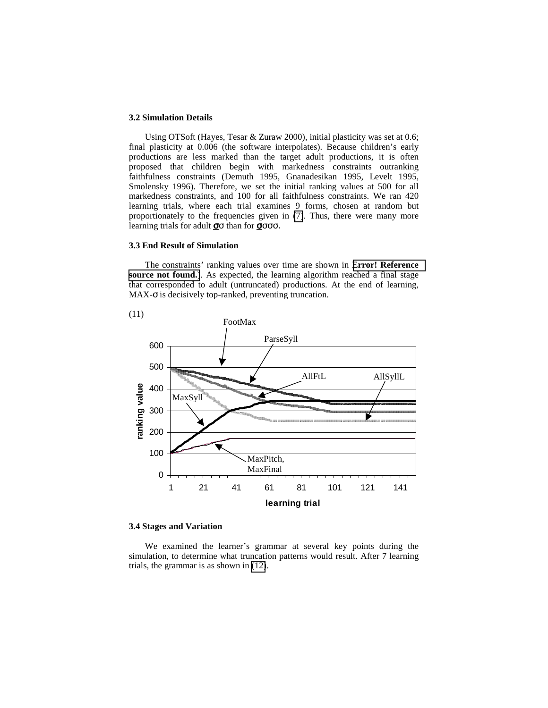### **3.2 Simulation Details**

Using OTSoft (Hayes, Tesar & Zuraw 2000), initial plasticity was set at 0.6; final plasticity at 0.006 (the software interpolates). Because children's early productions are less marked than the target adult productions, it is often proposed that children begin with markedness constraints outranking faithfulness constraints (Demuth 1995, Gnanadesikan 1995, Levelt 1995, Smolensky 1996). Therefore, we set the initial ranking values at 500 for all markedness constraints, and 100 for all faithfulness constraints. We ran 420 learning trials, where each trial examines 9 forms, chosen at random but proportionately to the frequencies given in [\(7\)](#page-3-0). Thus, there were many more learning trials for adult  $\sigma\sigma$  than for  $\sigma\sigma\sigma\sigma$ .

# **3.3 End Result of Simulation**

The constraints' ranking values over time are shown in **[Error! Reference](#page-6-0)  [source not found.](#page-6-0)**). As expected, the learning algorithm reached a final stage that corresponded to adult (untruncated) productions. At the end of learning,  $MAX-\sigma$  is decisively top-ranked, preventing truncation.



# **3.4 Stages and Variation**

We examined the learner's grammar at several key points during the simulation, to determine what truncation patterns would result. After 7 learning trials, the grammar is as shown in [\(12\)](#page-6-0).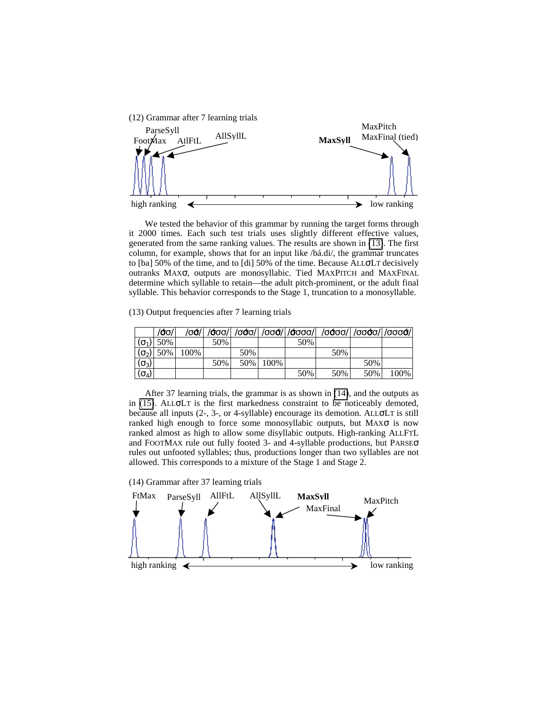<span id="page-6-0"></span>

We tested the behavior of this grammar by running the target forms through it 2000 times. Each such test trials uses slightly different effective values, generated from the same ranking values. The results are shown in (13). The first column, for example, shows that for an input like /bá.di/, the grammar truncates to [ba] 50% of the time, and to [di] 50% of the time. Because ALLσLT decisively outranks MAXσ, outputs are monosyllabic. Tied MAXPITCH and MAXFINAL determine which syllable to retain—the adult pitch-prominent, or the adult final syllable. This behavior corresponds to the Stage 1, truncation to a monosyllable.

(13) Output frequencies after 7 learning trials

|              | /σσ | $\sigma$ ớ $\parallel$ |     |     |      |     | /σσσ/  /σσσ/  /σσσ/  /σσσσ/  /σσσσ/  /σσσσ/  /σσσσ/ |     |      |
|--------------|-----|------------------------|-----|-----|------|-----|-----------------------------------------------------|-----|------|
| $(\sigma_1)$ | 50% |                        | 50% |     |      | 50% |                                                     |     |      |
| $(\sigma_2)$ | 50% | 100%                   |     | 50% |      |     | 50%                                                 |     |      |
| $(\sigma_3)$ |     |                        | 50% | 50% | 100% |     |                                                     | 50% |      |
| $(\sigma_4)$ |     |                        |     |     |      | 50% | 50%                                                 | 50% | 100% |

 After 37 learning trials, the grammar is as shown in (14), and the outputs as in [\(15\)](#page-7-0). ALLσLT is the first markedness constraint to be noticeably demoted, because all inputs (2-, 3-, or 4-syllable) encourage its demotion. ALLσLT is still ranked high enough to force some monosyllabic outputs, but MAXσ is now ranked almost as high to allow some disyllabic outputs. High-ranking ALLFTL and FOOTMAX rule out fully footed 3- and 4-syllable productions, but PARSEσ rules out unfooted syllables; thus, productions longer than two syllables are not allowed. This corresponds to a mixture of the Stage 1 and Stage 2.

(14) Grammar after 37 learning trials

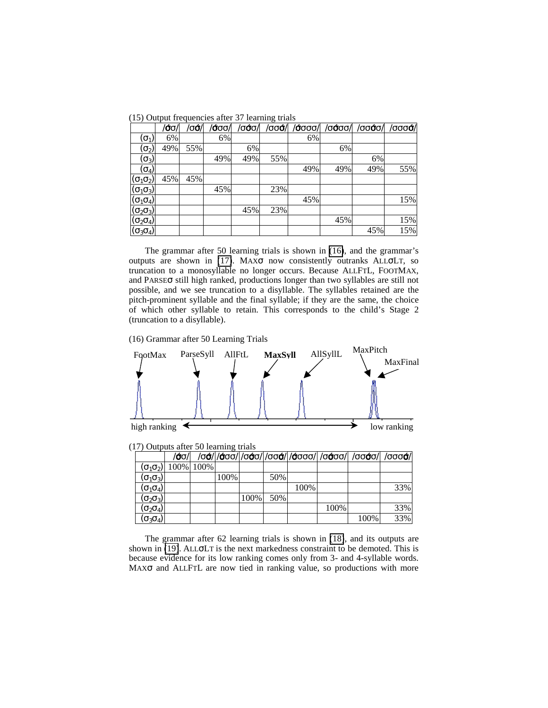<span id="page-7-0"></span>(15) Output frequencies after 37 learning trials

|                                                                                                                           | $\vec{\sigma}$ σ | $\sigma$ ó | /σσσ/ | /σ <del>ό</del> σ | $\sigma$ σσά $\sigma$ | /σσσσ/ | $\overline{\sigma}$ σόσσ/ | /σσόσ/ | /σσσά/ |
|---------------------------------------------------------------------------------------------------------------------------|------------------|------------|-------|-------------------|-----------------------|--------|---------------------------|--------|--------|
| $(\sigma_1)$                                                                                                              | 6%               |            | 6%    |                   |                       | 6%     |                           |        |        |
| $(\sigma_{2})$                                                                                                            | 49%              | 55%        |       | 6%                |                       |        | 6%                        |        |        |
| $\overline{(\sigma_3)}$                                                                                                   |                  |            | 49%   | 49%               | 55%                   |        |                           | 6%     |        |
| $(\sigma_4)$                                                                                                              |                  |            |       |                   |                       | 49%    | 49%                       | 49%    | 55%    |
| $(\sigma_1 \sigma_2)$                                                                                                     | 45%              | 45%        |       |                   |                       |        |                           |        |        |
|                                                                                                                           |                  |            | 45%   |                   | 23%                   |        |                           |        |        |
|                                                                                                                           |                  |            |       |                   |                       | 45%    |                           |        | 15%    |
|                                                                                                                           |                  |            |       | 45%               | 23%                   |        |                           |        |        |
|                                                                                                                           |                  |            |       |                   |                       |        | 45%                       |        | 15%    |
| $\frac{(\sigma_1 \sigma_3)}{(\sigma_1 \sigma_4)}$ $\frac{(\sigma_2 \sigma_3)}{(\sigma_2 \sigma_4)}$ $(\sigma_3 \sigma_4)$ |                  |            |       |                   |                       |        |                           | 45%    | 15%    |

 The grammar after 50 learning trials is shown in (16), and the grammar's outputs are shown in (17). MAXσ now consistently outranks ALLσLT, so truncation to a monosyllable no longer occurs. Because ALLFTL, FOOTMAX, and PARSEσ still high ranked, productions longer than two syllables are still not possible, and we see truncation to a disyllable. The syllables retained are the pitch-prominent syllable and the final syllable; if they are the same, the choice of which other syllable to retain. This corresponds to the child's Stage 2 (truncation to a disyllable).

(16) Grammar after 50 Learning Trials



(17) Outputs after 50 learning trials

|                       | /σσ/                            |      |      |     |      |      | /σσ/ $ $ /σσσ/ $ $ /σσσ/ $ $ /σσσ/ $ $ /σσσσ/ $ $ /σσσσ/ $ $ /σσσσ/ $ $ /σσσσ/ $ $ /σσσσ/ |     |
|-----------------------|---------------------------------|------|------|-----|------|------|-------------------------------------------------------------------------------------------|-----|
|                       | $(\sigma_1 \sigma_2)$ 100% 100% |      |      |     |      |      |                                                                                           |     |
| $(\sigma_1 \sigma_3)$ |                                 | 100% |      | 50% |      |      |                                                                                           |     |
| $(\sigma_1\sigma_4)$  |                                 |      |      |     | 100% |      |                                                                                           | 33% |
| $(\sigma_2\sigma_3)$  |                                 |      | 100% | 50% |      |      |                                                                                           |     |
| $(\sigma_2 \sigma_4)$ |                                 |      |      |     |      | 100% |                                                                                           | 33% |
| $(\sigma_3\sigma_4)$  |                                 |      |      |     |      |      | 100%                                                                                      | 33% |

 The grammar after 62 learning trials is shown in [\(18\)](#page-8-0), and its outputs are shown in [\(19\)](#page-8-0). ALLσLT is the next markedness constraint to be demoted. This is because evidence for its low ranking comes only from 3- and 4-syllable words. MAXσ and ALLFTL are now tied in ranking value, so productions with more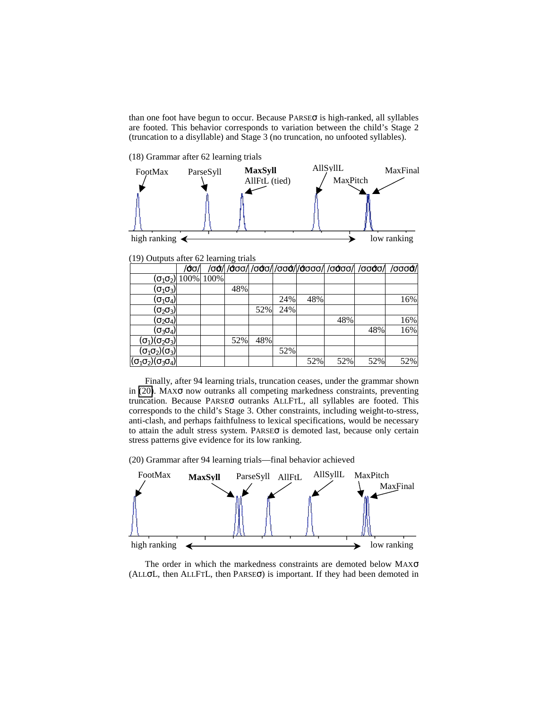<span id="page-8-0"></span>than one foot have begun to occur. Because  $PARSE\sigma$  is high-ranked, all syllables are footed. This behavior corresponds to variation between the child's Stage 2 (truncation to a disyllable) and Stage 3 (no truncation, no unfooted syllables).

(18) Grammar after 62 learning trials



(19) Outputs after 62 learning trials

|                                        |     |                                 | --- |     |     |     |     |                                                                              |     |
|----------------------------------------|-----|---------------------------------|-----|-----|-----|-----|-----|------------------------------------------------------------------------------|-----|
|                                        | /σσ |                                 |     |     |     |     |     | /σ $\acute{\sigma}$ (/σσσ/ /σσσ/ /σσσ/ /σσσσ/ /σσσσ/  /σσσσ/  /σσσσ/  /σσσσ/ |     |
|                                        |     | $(\sigma_1 \sigma_2)$ 100% 100% |     |     |     |     |     |                                                                              |     |
| $(\sigma_1\sigma_3)$                   |     |                                 | 48% |     |     |     |     |                                                                              |     |
| $(\sigma_1 \sigma_4)$                  |     |                                 |     |     | 24% | 48% |     |                                                                              | 16% |
| $(\sigma_2 \sigma_3)$                  |     |                                 |     | 52% | 24% |     |     |                                                                              |     |
| $(\sigma_2 \sigma_4)$                  |     |                                 |     |     |     |     | 48% |                                                                              | 16% |
| $(\sigma_3\sigma_4)$                   |     |                                 |     |     |     |     |     | 48%                                                                          | 16% |
| $(\sigma_1)(\sigma_2\sigma_3)$         |     |                                 | 52% | 48% |     |     |     |                                                                              |     |
| $(\sigma_1\sigma_2)(\sigma_3)$         |     |                                 |     |     | 52% |     |     |                                                                              |     |
| $(\sigma_1\sigma_2)(\sigma_3\sigma_4)$ |     |                                 |     |     |     | 52% | 52% | 52%                                                                          | 52% |

Finally, after 94 learning trials, truncation ceases, under the grammar shown in  $(20)$ . MAX $\sigma$  now outranks all competing markedness constraints, preventing truncation. Because PARSEσ outranks ALLFTL, all syllables are footed. This corresponds to the child's Stage 3. Other constraints, including weight-to-stress, anti-clash, and perhaps faithfulness to lexical specifications, would be necessary to attain the adult stress system. PARSEσ is demoted last, because only certain stress patterns give evidence for its low ranking.

(20) Grammar after 94 learning trials—final behavior achieved



The order in which the markedness constraints are demoted below MAXσ (ALLσL, then ALLFTL, then PARSEσ) is important. If they had been demoted in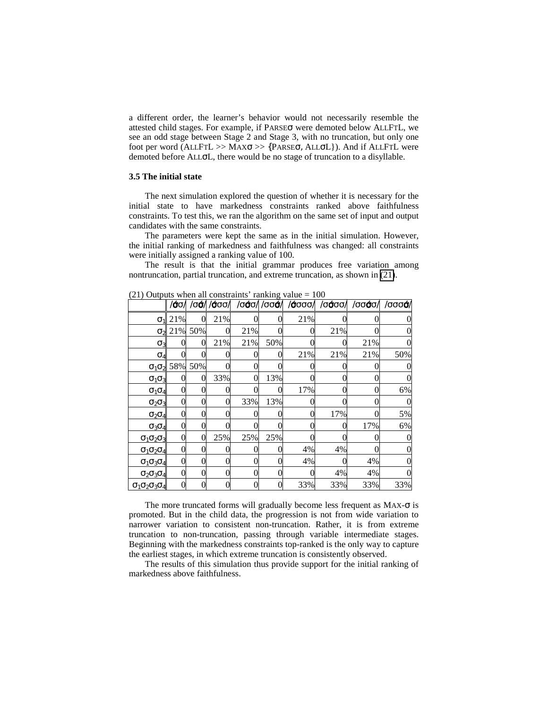a different order, the learner's behavior would not necessarily resemble the attested child stages. For example, if PARSEσ were demoted below ALLFTL, we see an odd stage between Stage 2 and Stage 3, with no truncation, but only one foot per word (ALLFTL >> MAXσ >> {PARSEσ, ALLσL}). And if ALLFTL were demoted before ALLσL, there would be no stage of truncation to a disyllable.

### **3.5 The initial state**

The next simulation explored the question of whether it is necessary for the initial state to have markedness constraints ranked above faithfulness constraints. To test this, we ran the algorithm on the same set of input and output candidates with the same constraints.

The parameters were kept the same as in the initial simulation. However, the initial ranking of markedness and faithfulness was changed: all constraints were initially assigned a ranking value of 100.

The result is that the initial grammar produces free variation among nontruncation, partial truncation, and extreme truncation, as shown in (21).

| $\angle$ 1) Outputs when an constraints Tanking value $=$ 100 | /σσ/ |         | /σά/ /άσσ/ |     | /σσο/ /σσσ/ | /σσσσ/ | /σσοσ/ | /σσόσ/ | /σσσά/ |
|---------------------------------------------------------------|------|---------|------------|-----|-------------|--------|--------|--------|--------|
| $\sigma_1$                                                    | 21%  |         | 21%        |     |             | 21%    |        |        |        |
| $\sigma_2$                                                    |      | 21% 50% |            | 21% |             |        | 21%    |        |        |
| $\sigma_3$                                                    |      |         | 21%        | 21% | 50%         |        |        | 21%    |        |
| $\sigma_4$                                                    |      |         |            |     | $\Omega$    | 21%    | 21%    | 21%    | 50%    |
| $\sigma_1 \sigma_2$                                           | 58%  | 50%     |            |     |             |        |        |        |        |
| $\sigma_1\sigma_3$                                            |      |         | 33%        |     | 13%         |        |        |        |        |
| $\sigma_1\sigma_4$                                            |      |         |            |     | $_{0}$      | 17%    |        |        | 6%     |
| $\sigma_2\sigma_3$                                            | 0    |         |            | 33% | 13%         |        |        |        |        |
| $\sigma_2\sigma_4$                                            |      |         |            |     |             |        | 17%    |        | 5%     |
| $\sigma_3\sigma_4$                                            | 0    |         |            |     |             |        |        | 17%    | 6%     |
| $\sigma_1\sigma_2\sigma_3$                                    |      |         | 25%        | 25% | 25%         |        |        |        |        |
| $\sigma_1\sigma_2\sigma_4$                                    |      |         |            |     |             | 4%     | 4%     |        |        |
| $\sigma_1\sigma_3\sigma_4$                                    | 0    |         |            |     | 0           | 4%     |        | 4%     |        |
| $\sigma_2\sigma_3\sigma_4$                                    | 0    |         |            |     |             |        | 4%     | 4%     |        |
| $\sigma_1\sigma_2\sigma_3\sigma_4$                            |      |         |            |     |             | 33%    | 33%    | 33%    | 33%    |

 $(21)$  Outputs when all constraints' ranking value  $-100$ 

The more truncated forms will gradually become less frequent as  $MAX-\sigma$  is promoted. But in the child data, the progression is not from wide variation to narrower variation to consistent non-truncation. Rather, it is from extreme truncation to non-truncation, passing through variable intermediate stages. Beginning with the markedness constraints top-ranked is the only way to capture the earliest stages, in which extreme truncation is consistently observed.

The results of this simulation thus provide support for the initial ranking of markedness above faithfulness.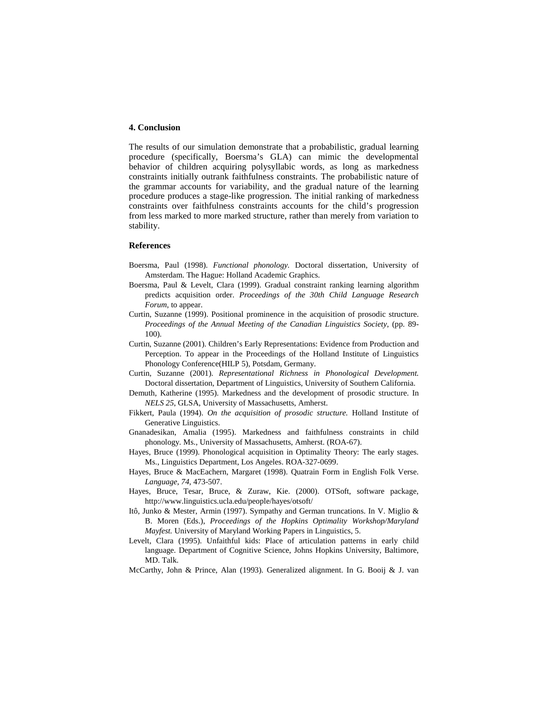## **4. Conclusion**

The results of our simulation demonstrate that a probabilistic, gradual learning procedure (specifically, Boersma's GLA) can mimic the developmental behavior of children acquiring polysyllabic words, as long as markedness constraints initially outrank faithfulness constraints. The probabilistic nature of the grammar accounts for variability, and the gradual nature of the learning procedure produces a stage-like progression. The initial ranking of markedness constraints over faithfulness constraints accounts for the child's progression from less marked to more marked structure, rather than merely from variation to stability.

### **References**

- Boersma, Paul (1998). *Functional phonology.* Doctoral dissertation, University of Amsterdam. The Hague: Holland Academic Graphics.
- Boersma, Paul & Levelt, Clara (1999). Gradual constraint ranking learning algorithm predicts acquisition order. *Proceedings of the 30th Child Language Research Forum*, to appear.
- Curtin, Suzanne (1999). Positional prominence in the acquisition of prosodic structure. *Proceedings of the Annual Meeting of the Canadian Linguistics Society,* (pp. 89- 100).
- Curtin, Suzanne (2001). Children's Early Representations: Evidence from Production and Perception. To appear in the Proceedings of the Holland Institute of Linguistics Phonology Conference(HILP 5), Potsdam, Germany.
- Curtin, Suzanne (2001). *Representational Richness in Phonological Development.* Doctoral dissertation, Department of Linguistics, University of Southern California.
- Demuth, Katherine (1995). Markedness and the development of prosodic structure. In *NELS 25*, GLSA, University of Massachusetts, Amherst.
- Fikkert, Paula (1994). *On the acquisition of prosodic structure.* Holland Institute of Generative Linguistics.
- Gnanadesikan, Amalia (1995). Markedness and faithfulness constraints in child phonology. Ms., University of Massachusetts, Amherst. (ROA-67).
- Hayes, Bruce (1999). Phonological acquisition in Optimality Theory: The early stages. Ms., Linguistics Department, Los Angeles. ROA-327-0699.
- Hayes, Bruce & MacEachern, Margaret (1998). Quatrain Form in English Folk Verse. *Language, 74,* 473-507.
- Hayes, Bruce, Tesar, Bruce, & Zuraw, Kie. (2000). OTSoft, software package, http://www.linguistics.ucla.edu/people/hayes/otsoft/
- Itô, Junko & Mester, Armin (1997). Sympathy and German truncations. In V. Miglio & B. Moren (Eds.), *Proceedings of the Hopkins Optimality Workshop/Maryland Mayfest.* University of Maryland Working Papers in Linguistics, 5.
- Levelt, Clara (1995). Unfaithful kids: Place of articulation patterns in early child language. Department of Cognitive Science, Johns Hopkins University, Baltimore, MD. Talk.
- McCarthy, John & Prince, Alan (1993). Generalized alignment. In G. Booij & J. van